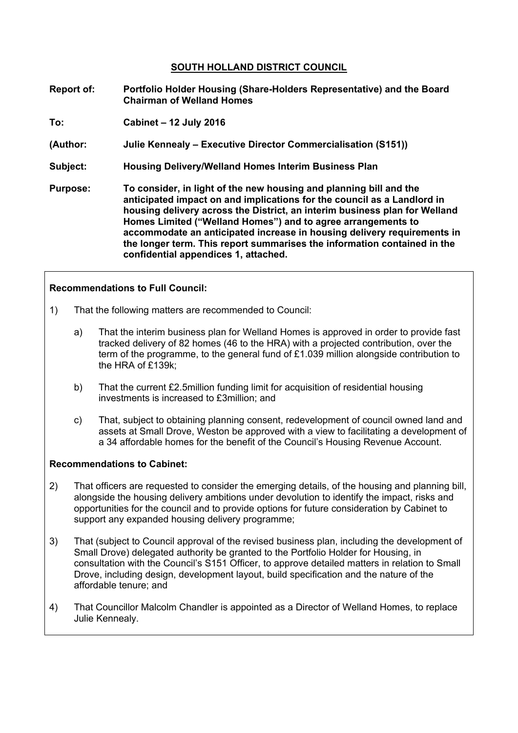# **SOUTH HOLLAND DISTRICT COUNCIL**

- **Report of: Portfolio Holder Housing (Share-Holders Representative) and the Board Chairman of Welland Homes**
- **To: Cabinet – 12 July 2016**
- **(Author: Julie Kennealy – Executive Director Commercialisation (S151))**
- **Subject: Housing Delivery/Welland Homes Interim Business Plan**
- **Purpose: To consider, in light of the new housing and planning bill and the anticipated impact on and implications for the council as a Landlord in housing delivery across the District, an interim business plan for Welland Homes Limited ("Welland Homes") and to agree arrangements to accommodate an anticipated increase in housing delivery requirements in the longer term. This report summarises the information contained in the confidential appendices 1, attached.**

# **Recommendations to Full Council:**

- 1) That the following matters are recommended to Council:
	- a) That the interim business plan for Welland Homes is approved in order to provide fast tracked delivery of 82 homes (46 to the HRA) with a projected contribution, over the term of the programme, to the general fund of  $£1.039$  million alongside contribution to the HRA of £139k;
	- b) That the current £2.5million funding limit for acquisition of residential housing investments is increased to £3million; and
	- c) That, subject to obtaining planning consent, redevelopment of council owned land and assets at Small Drove, Weston be approved with a view to facilitating a development of a 34 affordable homes for the benefit of the Council's Housing Revenue Account.

### **Recommendations to Cabinet:**

- 2) That officers are requested to consider the emerging details, of the housing and planning bill, alongside the housing delivery ambitions under devolution to identify the impact, risks and opportunities for the council and to provide options for future consideration by Cabinet to support any expanded housing delivery programme;
- 3) That (subject to Council approval of the revised business plan, including the development of Small Drove) delegated authority be granted to the Portfolio Holder for Housing, in consultation with the Council's S151 Officer, to approve detailed matters in relation to Small Drove, including design, development layout, build specification and the nature of the affordable tenure; and
- 4) That Councillor Malcolm Chandler is appointed as a Director of Welland Homes, to replace Julie Kennealy.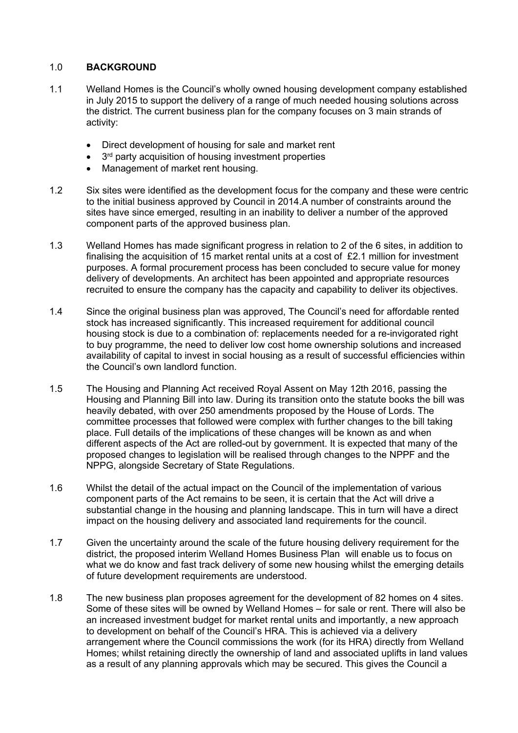# 1.0 **BACKGROUND**

- 1.1 Welland Homes is the Council's wholly owned housing development company established in July 2015 to support the delivery of a range of much needed housing solutions across the district. The current business plan for the company focuses on 3 main strands of activity:
	- Direct development of housing for sale and market rent
	- 3<sup>rd</sup> party acquisition of housing investment properties
	- Management of market rent housing.
- 1.2 Six sites were identified as the development focus for the company and these were centric to the initial business approved by Council in 2014.A number of constraints around the sites have since emerged, resulting in an inability to deliver a number of the approved component parts of the approved business plan.
- 1.3 Welland Homes has made significant progress in relation to 2 of the 6 sites, in addition to finalising the acquisition of 15 market rental units at a cost of £2.1 million for investment purposes. A formal procurement process has been concluded to secure value for money delivery of developments. An architect has been appointed and appropriate resources recruited to ensure the company has the capacity and capability to deliver its objectives.
- 1.4 Since the original business plan was approved, The Council's need for affordable rented stock has increased significantly. This increased requirement for additional council housing stock is due to a combination of: replacements needed for a re-invigorated right to buy programme, the need to deliver low cost home ownership solutions and increased availability of capital to invest in social housing as a result of successful efficiencies within the Council's own landlord function.
- 1.5 The Housing and Planning Act received Royal Assent on May 12th 2016, passing the Housing and Planning Bill into law. During its transition onto the statute books the bill was heavily debated, with over 250 amendments proposed by the House of Lords. The committee processes that followed were complex with further changes to the bill taking place. Full details of the implications of these changes will be known as and when different aspects of the Act are rolled-out by government. It is expected that many of the proposed changes to legislation will be realised through changes to the NPPF and the NPPG, alongside Secretary of State Regulations.
- 1.6 Whilst the detail of the actual impact on the Council of the implementation of various component parts of the Act remains to be seen, it is certain that the Act will drive a substantial change in the housing and planning landscape. This in turn will have a direct impact on the housing delivery and associated land requirements for the council.
- 1.7 Given the uncertainty around the scale of the future housing delivery requirement for the district, the proposed interim Welland Homes Business Plan will enable us to focus on what we do know and fast track delivery of some new housing whilst the emerging details of future development requirements are understood.
- 1.8 The new business plan proposes agreement for the development of 82 homes on 4 sites. Some of these sites will be owned by Welland Homes – for sale or rent. There will also be an increased investment budget for market rental units and importantly, a new approach to development on behalf of the Council's HRA. This is achieved via a delivery arrangement where the Council commissions the work (for its HRA) directly from Welland Homes; whilst retaining directly the ownership of land and associated uplifts in land values as a result of any planning approvals which may be secured. This gives the Council a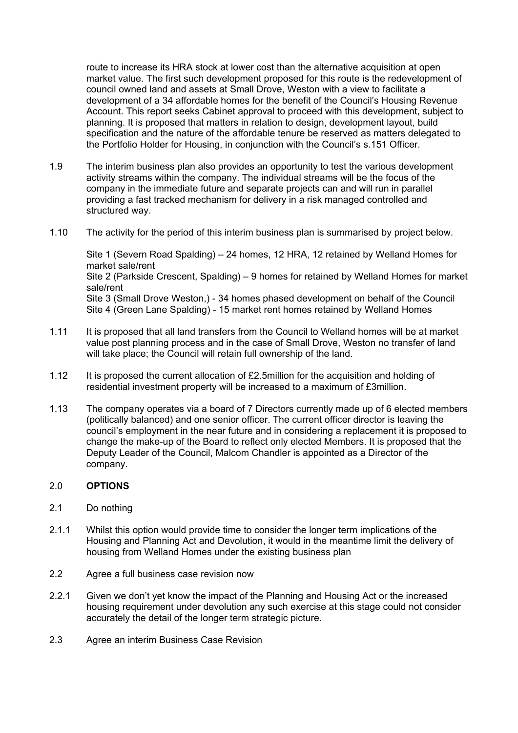route to increase its HRA stock at lower cost than the alternative acquisition at open market value. The first such development proposed for this route is the redevelopment of council owned land and assets at Small Drove, Weston with a view to facilitate a development of a 34 affordable homes for the benefit of the Council's Housing Revenue Account. This report seeks Cabinet approval to proceed with this development, subject to planning. It is proposed that matters in relation to design, development layout, build specification and the nature of the affordable tenure be reserved as matters delegated to the Portfolio Holder for Housing, in conjunction with the Council's s.151 Officer.

- 1.9 The interim business plan also provides an opportunity to test the various development activity streams within the company. The individual streams will be the focus of the company in the immediate future and separate projects can and will run in parallel providing a fast tracked mechanism for delivery in a risk managed controlled and structured way.
- 1.10 The activity for the period of this interim business plan is summarised by project below.

Site 1 (Severn Road Spalding) – 24 homes, 12 HRA, 12 retained by Welland Homes for market sale/rent Site 2 (Parkside Crescent, Spalding) – 9 homes for retained by Welland Homes for market sale/rent Site 3 (Small Drove Weston,) - 34 homes phased development on behalf of the Council Site 4 (Green Lane Spalding) - 15 market rent homes retained by Welland Homes

- 1.11 It is proposed that all land transfers from the Council to Welland homes will be at market value post planning process and in the case of Small Drove, Weston no transfer of land will take place; the Council will retain full ownership of the land.
- 1.12 It is proposed the current allocation of £2.5million for the acquisition and holding of residential investment property will be increased to a maximum of £3million.
- 1.13 The company operates via a board of 7 Directors currently made up of 6 elected members (politically balanced) and one senior officer. The current officer director is leaving the council's employment in the near future and in considering a replacement it is proposed to change the make-up of the Board to reflect only elected Members. It is proposed that the Deputy Leader of the Council, Malcom Chandler is appointed as a Director of the company.

### 2.0 **OPTIONS**

- 2.1 Do nothing
- 2.1.1 Whilst this option would provide time to consider the longer term implications of the Housing and Planning Act and Devolution, it would in the meantime limit the delivery of housing from Welland Homes under the existing business plan
- 2.2 Agree a full business case revision now
- 2.2.1 Given we don't yet know the impact of the Planning and Housing Act or the increased housing requirement under devolution any such exercise at this stage could not consider accurately the detail of the longer term strategic picture.
- 2.3 Agree an interim Business Case Revision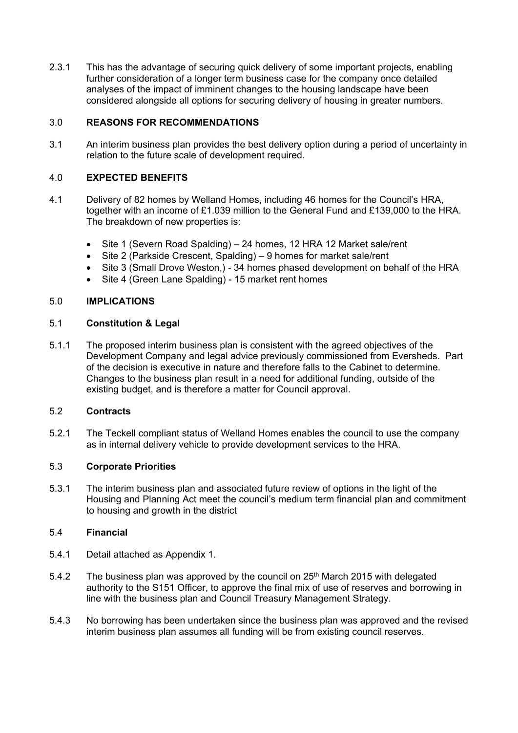2.3.1 This has the advantage of securing quick delivery of some important projects, enabling further consideration of a longer term business case for the company once detailed analyses of the impact of imminent changes to the housing landscape have been considered alongside all options for securing delivery of housing in greater numbers.

# 3.0 **REASONS FOR RECOMMENDATIONS**

3.1 An interim business plan provides the best delivery option during a period of uncertainty in relation to the future scale of development required.

# 4.0 **EXPECTED BENEFITS**

- 4.1 Delivery of 82 homes by Welland Homes, including 46 homes for the Council's HRA, together with an income of £1.039 million to the General Fund and £139,000 to the HRA. The breakdown of new properties is:
	- Site 1 (Severn Road Spalding) 24 homes, 12 HRA 12 Market sale/rent
	- Site 2 (Parkside Crescent, Spalding) 9 homes for market sale/rent
	- Site 3 (Small Drove Weston,) 34 homes phased development on behalf of the HRA
	- Site 4 (Green Lane Spalding) 15 market rent homes

### 5.0 **IMPLICATIONS**

### 5.1 **Constitution & Legal**

5.1.1 The proposed interim business plan is consistent with the agreed objectives of the Development Company and legal advice previously commissioned from Eversheds. Part of the decision is executive in nature and therefore falls to the Cabinet to determine. Changes to the business plan result in a need for additional funding, outside of the existing budget, and is therefore a matter for Council approval.

### 5.2 **Contracts**

5.2.1 The Teckell compliant status of Welland Homes enables the council to use the company as in internal delivery vehicle to provide development services to the HRA.

### 5.3 **Corporate Priorities**

5.3.1 The interim business plan and associated future review of options in the light of the Housing and Planning Act meet the council's medium term financial plan and commitment to housing and growth in the district

## 5.4 **Financial**

- 5.4.1 Detail attached as Appendix 1.
- 5.4.2 The business plan was approved by the council on 25th March 2015 with delegated authority to the S151 Officer, to approve the final mix of use of reserves and borrowing in line with the business plan and Council Treasury Management Strategy.
- 5.4.3 No borrowing has been undertaken since the business plan was approved and the revised interim business plan assumes all funding will be from existing council reserves.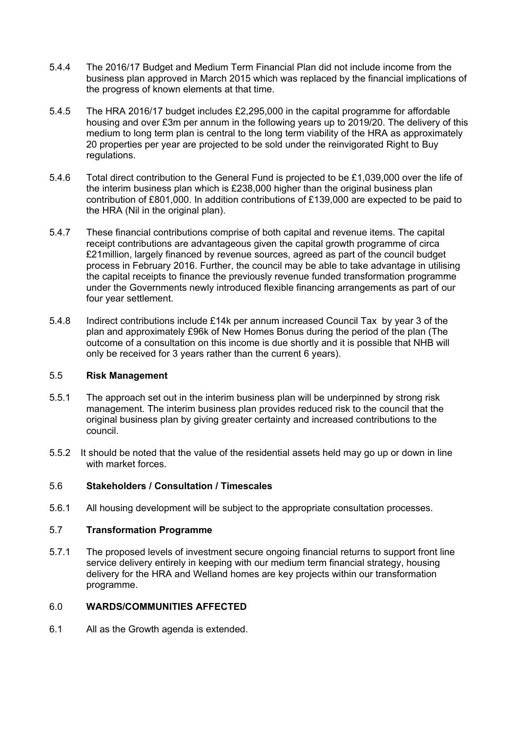- 5.4.4 The 2016/17 Budget and Medium Term Financial Plan did not include income from the business plan approved in March 2015 which was replaced by the financial implications of the progress of known elements at that time.
- 5.4.5 The HRA 2016/17 budget includes £2,295,000 in the capital programme for affordable housing and over £3m per annum in the following years up to 2019/20. The delivery of this medium to long term plan is central to the long term viability of the HRA as approximately 20 properties per year are projected to be sold under the reinvigorated Right to Buy regulations.
- 5.4.6 Total direct contribution to the General Fund is projected to be £1,039,000 over the life of the interim business plan which is £238,000 higher than the original business plan contribution of £801,000. In addition contributions of £139,000 are expected to be paid to the HRA (Nil in the original plan).
- 5.4.7 These financial contributions comprise of both capital and revenue items. The capital receipt contributions are advantageous given the capital growth programme of circa £21million, largely financed by revenue sources, agreed as part of the council budget process in February 2016. Further, the council may be able to take advantage in utilising the capital receipts to finance the previously revenue funded transformation programme under the Governments newly introduced flexible financing arrangements as part of our four year settlement.
- 5.4.8 Indirect contributions include £14k per annum increased Council Tax by year 3 of the plan and approximately £96k of New Homes Bonus during the period of the plan (The outcome of a consultation on this income is due shortly and it is possible that NHB will only be received for 3 years rather than the current 6 years).

### 5.5 **Risk Management**

- 5.5.1 The approach set out in the interim business plan will be underpinned by strong risk management. The interim business plan provides reduced risk to the council that the original business plan by giving greater certainty and increased contributions to the council.
- 5.5.2 It should be noted that the value of the residential assets held may go up or down in line with market forces.

### 5.6 **Stakeholders / Consultation / Timescales**

5.6.1 All housing development will be subject to the appropriate consultation processes.

### 5.7 **Transformation Programme**

5.7.1 The proposed levels of investment secure ongoing financial returns to support front line service delivery entirely in keeping with our medium term financial strategy, housing delivery for the HRA and Welland homes are key projects within our transformation programme.

## 6.0 **WARDS/COMMUNITIES AFFECTED**

6.1 All as the Growth agenda is extended.